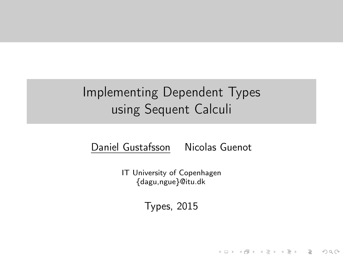# <span id="page-0-0"></span>Implementing Dependent Types using Sequent Calculi

#### Daniel Gustafsson Nicolas Guenot

IT University of Copenhagen {dagu,ngue}@itu.dk

Types, 2015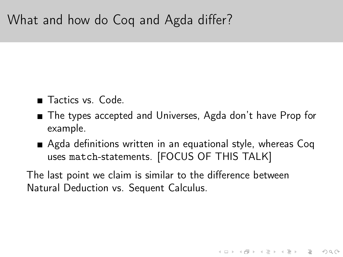- Tactics vs. Code.
- The types accepted and Universes, Agda don't have Prop for example.
- Agda definitions written in an equational style, whereas Coq uses match-statements. [FOCUS OF THIS TALK]

The last point we claim is similar to the difference between Natural Deduction vs. Sequent Calculus.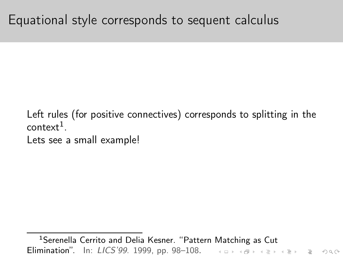Left rules (for positive connectives) corresponds to splitting in the  $\text{context}^1$ .

Lets see a small example!

<sup>1</sup>Serenella Cerrito and Delia Kesner. "Pattern Matching as Cut **Elimination".** In: *LICS'99*. 1999, pp. 98—108. The manager of the manager of the second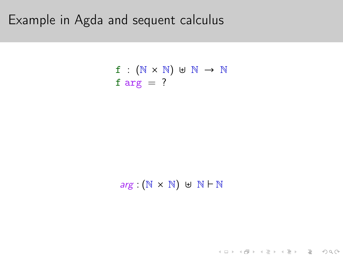$$
f : (\mathbb{N} \times \mathbb{N}) \cup \mathbb{N} \to \mathbb{N}
$$
  
f arg = ?

#### arg  $(N \times N) \cup N \vdash N$

(ロ) (@) (혼) (혼) (혼) 20 000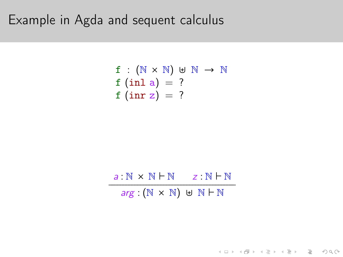$$
f : (N \times N) \uplus N \rightarrow N
$$
  

$$
f (in1 a) = ?
$$
  

$$
f (inr z) = ?
$$



(ロ) (@) (혼) (혼) (혼) 20 000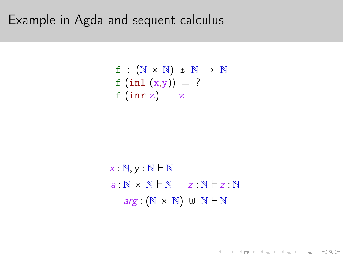$$
f : (\mathbb{N} \times \mathbb{N}) \oplus \mathbb{N} \to \mathbb{N}
$$
  

$$
f (in1 (x,y)) = ?
$$
  

$$
f (inr z) = z
$$



K ロ ▶ K 레 ≯ K 제공 → K 공 → X → D → O Q (V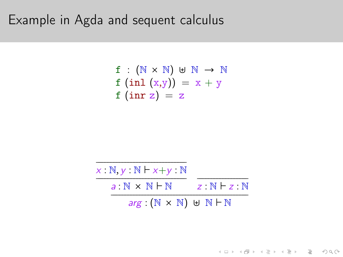$$
f : (\mathbb{N} \times \mathbb{N}) \oplus \mathbb{N} \to \mathbb{N}
$$
  

$$
f (in1 (x,y)) = x + y
$$
  

$$
f (inr z) = z
$$



K ロ ▶ K (日) → K ミ → K ミ → H → O Q (9)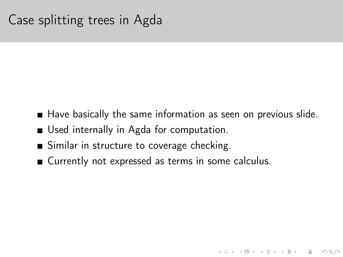■ Have basically the same information as seen on previous slide.

K ロ ▶ K 레 ≯ K 제공 → K 공 → X → D → O Q (V

- Used internally in Agda for computation.
- Similar in structure to coverage checking.
- Currently not expressed as terms in some calculus.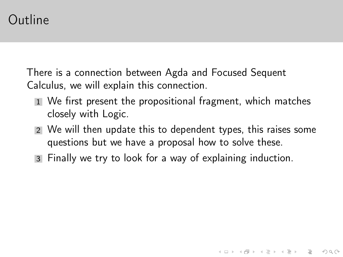### **Outline**

There is a connection between Agda and Focused Sequent Calculus, we will explain this connection.

- 1 We first present the propositional fragment, which matches closely with Logic.
- 2 We will then update this to dependent types, this raises some questions but we have a proposal how to solve these.

3 Finally we try to look for a way of explaining induction.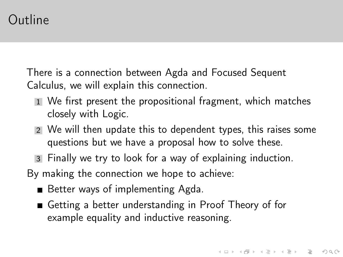### Outline

There is a connection between Agda and Focused Sequent Calculus, we will explain this connection.

- 1 We first present the propositional fragment, which matches closely with Logic.
- 2 We will then update this to dependent types, this raises some questions but we have a proposal how to solve these.
- 3 Finally we try to look for a way of explaining induction.

By making the connection we hope to achieve:

- Better ways of implementing Agda.
- Getting a better understanding in Proof Theory of for example equality and inductive reasoning.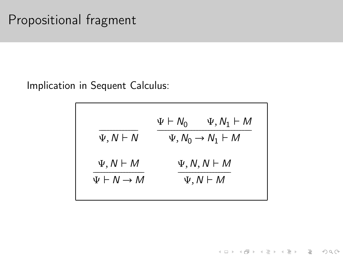Implication in Sequent Calculus:

| $\Psi, N \vdash N$            | $\Psi, N_1 \vdash M$<br>$\Psi \vdash N_0$<br>$\Psi, N_0 \rightarrow N_1 \vdash M$ |
|-------------------------------|-----------------------------------------------------------------------------------|
| $\Psi, N \vdash M$            | $\Psi, N, N \vdash M$                                                             |
| $\Psi \vdash N \rightarrow M$ | $\Psi, N \vdash M$                                                                |

K ロ > K @ > K 등 > K 등 > → 등 …  $\circledcirc \circledcirc \circledcirc$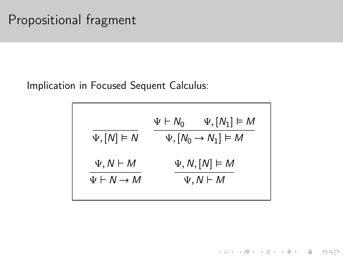#### Implication in Focused Sequent Calculus:

| $\Psi$ , $[N] \models N$      | $\Psi$ , $[N_1] \models M$<br>$\Psi \vdash N_0$<br>$\Psi$ , $[N_0 \rightarrow N_1] \models M$ |  |
|-------------------------------|-----------------------------------------------------------------------------------------------|--|
| $\Psi, N \vdash M$            | $\Psi, N, [N] \models M$                                                                      |  |
| $\Psi \vdash N \rightarrow M$ | $\Psi, N \vdash M$                                                                            |  |

イロト イ団 トイミト イミト ニミー りんぐ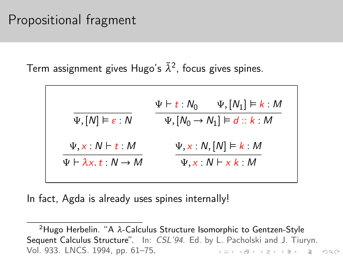# Propositional fragment

Term assignment gives Hugo's  $\bar{\lambda}^2$ , focus gives spines.

$$
\frac{\Psi \vdash t : N_0 \qquad \Psi, [N_1] \vDash k : M}{\Psi, [N_0 \rightarrow N_1] \vDash d :: k : M}
$$
\n
$$
\frac{\Psi, x : N \vdash t : M}{\Psi \vdash \lambda x. t : N \rightarrow M} \qquad \frac{\Psi, x : N, [N] \vDash k : M}{\Psi, x : N \vdash x k : M}
$$

In fact, Agda is already uses spines internally!

<sup>2</sup>Hugo Herbelin. "A *λ*-Calculus Structure Isomorphic to Gentzen-Style Sequent Calculus Structure". In: CSL'94. Ed. by L. Pacholski and J. Tiuryn. Vol. 933. LNCS. 1994, pp. 61–75..<br>K □ ▶ K □ ▶ K □ ▶ K □ ▶ X □ ▶ → □ □ → ① Q ①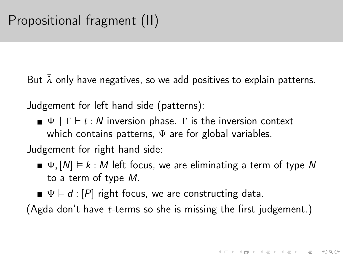But  $\lambda$  only have negatives, so we add positives to explain patterns.

Judgement for left hand side (patterns):

 $\blacksquare$  *Ψ* | Γ  $\vdash$  *t* : *N* inversion phase. *Γ* is the inversion context which contains patterns, *Ψ* are for global variables.

Judgement for right hand side:

- $\blacktriangleright$  *Ψ*,  $[N] \models k : M$  left focus, we are eliminating a term of type N to a term of type M.
- $\Psi \vDash d$  : [P] right focus, we are constructing data.

(Agda don't have  $t$ -terms so she is missing the first judgement.)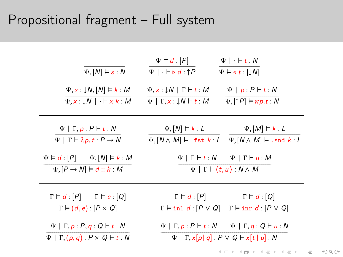# Propositional fragment - Full system

|                                                        | $\Psi \vDash d$ : $[P]$                                  | $\Psi$   $\cdot \vdash t : N$                                                               |
|--------------------------------------------------------|----------------------------------------------------------|---------------------------------------------------------------------------------------------|
| $\Psi$ , $[N] \vDash \varepsilon : N$                  | $\Psi \mid \cdot \vdash \triangleright d : \uparrow P$   | $\Psi \models \triangleleft t : [\downarrow N]$                                             |
| $\Psi, x : \downarrow N, [N] \vDash k : M$             | $\Psi, x : \downarrow N \mid \Gamma \vdash t : M$        | $\Psi   p : P \vdash t : N$                                                                 |
| $\Psi, x : \downarrow N \mid \cdot \vdash x k : M$     | $\Psi   \Gamma, x : \downarrow N \vdash t : M$           | $\Psi$ , $[\uparrow P] \models \kappa p.t$ N                                                |
| $\Psi   \Gamma, p : P \vdash t : N$                    | $\Psi$ , $[N] \models k : L$                             | $\Psi$ , $[M] \vDash k : L$                                                                 |
| $\Psi$   $\Gamma \vdash \lambda p.t : P \rightarrow N$ |                                                          | $\Psi$ , $[N \wedge M] \vDash$ . fst $k$ : $L \Psi$ , $[N \wedge M] \vDash$ . snd $k$ : $L$ |
| $\Psi \models d : [P]$ $\Psi, [N] \models k : M$       |                                                          | $\Psi   \Gamma \vdash t : N \quad \Psi   \Gamma \vdash u : M$                               |
| $\Psi$ , $[P \rightarrow N] \models d :: k : M$        | $\Psi   \Gamma \vdash \langle t, u \rangle : N \wedge M$ |                                                                                             |
| $\Gamma \models d : [P]$ $\Gamma \models e : [Q]$      | $\Gamma \models d : [P]$                                 | $\Gamma \models d : [Q]$                                                                    |
| $\Gamma \models (d, e) : [P \times Q]$                 |                                                          | $\Gamma \models \text{inl } d : [P \lor Q] \quad \Gamma \models \text{inr } d : [P \lor Q]$ |
| $\Psi   \Gamma, p : P, q : Q \vdash t : N$             |                                                          | $\Psi   \Gamma, p : P \vdash t : N \quad \Psi   \Gamma, q : Q \vdash u : N$                 |
|                                                        |                                                          |                                                                                             |

 $\circledcirc \circledcirc \circledcirc$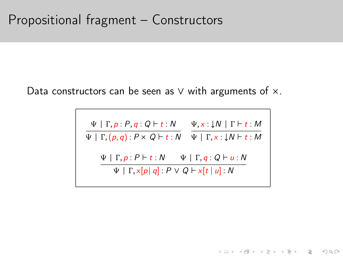Data constructors can be seen as  $\vee$  with arguments of  $\times$ .

*Ψ* | Γ, *p* : *P*, *q* : *Q* ⊢ *t* : *N*<br>Ψ | Γ, (*p*, *q*) : *P* × *Q* ⊢ *t* : *N Ψ*, *x* : ↓*N* | Γ ⊢ *t* : *M*<br>Ψ | Γ, *x* : ↓*N* ⊢ *t* : *M Ψ* | Γ, *p* : *P* + *t* : *N Ψ* | Γ, *q* : *Q* + *u* : *N*  $-$  *Ψ* | Γ, x[*p* | *q*] : *P* ∨ *Q*  $\vdash$  x[t | *u*] : *N* 

(ロ) (@) (혼) (혼) (혼) 2 990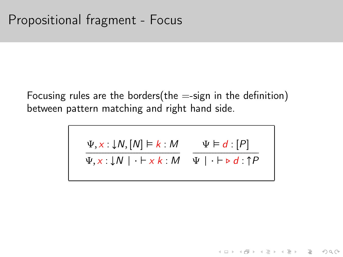Focusing rules are the borders(the  $=$ -sign in the definition) between pattern matching and right hand side.

$$
\frac{\Psi, x : \downarrow N, [N] \vDash k : M}{\Psi, x : \downarrow N \mid \cdot \vdash x \ k : M} \quad \frac{\Psi \vDash d : [P]}{\Psi \mid \cdot \vdash \triangleright d : \uparrow P}
$$

K ロ ▶ K 레 ≯ K 제공 → K 공 → X → D → O Q (V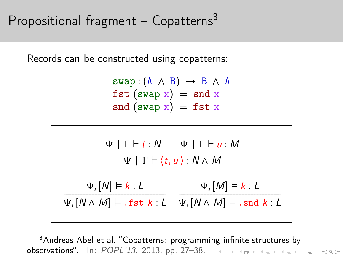# Propositional fragment – Copatterns<sup>3</sup>

Records can be constructed using copatterns:

$$
swap : (A \land B) \rightarrow B \land A
$$
  
fst (swap x) = snd x  
snd (swap x) = fst x



<sup>3</sup>Andreas Abel et al. "Copatterns: programming infinite structures by **observations".** In: POPL'13. 2013, pp. 27-38. And A Reservations". In: POPL'13. 2013, pp. 27-38.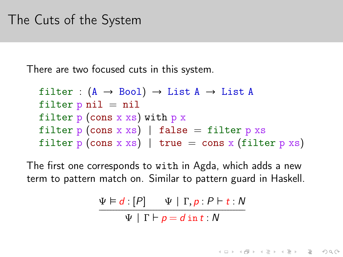There are two focused cuts in this system.

filter :  $(A \rightarrow \text{Bool}) \rightarrow$  List  $A \rightarrow$  List A filter  $p$  nil = nil filter  $p$  (cons x xs) with  $p$  x filter  $p$  (cons x xs) | false = filter  $p$  xs filter  $p$  (cons x xs) | true = cons x (filter  $p$  xs)

The first one corresponds to with in Agda, which adds a new term to pattern match on. Similar to pattern guard in Haskell.

$$
\frac{\Psi \vDash d : [P] \qquad \Psi \mid \Gamma, p : P \vdash t : N}{\Psi \mid \Gamma \vdash p = d \text{ in } t : N}
$$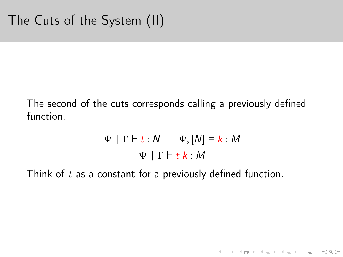The second of the cuts corresponds calling a previously defined function.

$$
\frac{\Psi \mid \Gamma \vdash t : N \qquad \Psi, [N] \vDash k : M}{\Psi \mid \Gamma \vdash t \ k : M}
$$

K ロ ▶ K 레 ≯ K 제공 → K 공 → X → D → O Q (V

Think of t as a constant for a previously defined function.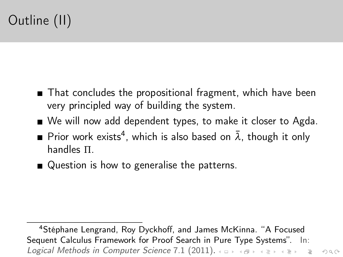# Outline (II)

- That concludes the propositional fragment, which have been very principled way of building the system.
- We will now add dependent types, to make it closer to Agda.
- Prior work exists<sup>4</sup>, which is also based on  $\bar{\lambda}$ , though it only handles *Π*.
- Question is how to generalise the patterns.

<sup>4</sup>Stéphane Lengrand, Roy Dyckhoff, and James McKinna. "A Focused Sequent Calculus Framework for Proof Search in Pure Type Systems". In: Logical Methods in Computer Science 7.1 (2011).  $\overline{a}$  and  $\overline{a}$  and  $\overline{a}$  and  $\overline{a}$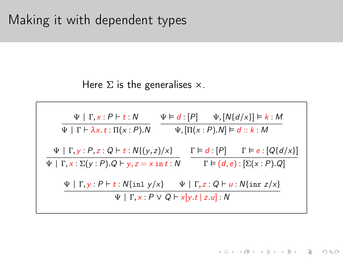### Making it with dependent types

Here  $\Sigma$  is the generalises  $\times$ .

$$
\frac{\Psi \mid \Gamma, x: P \vdash t: N \qquad \Psi \models d: [P] \qquad \Psi, [N\{d/x\}] \models k: M \qquad \varphi \mid \Gamma \vdash \lambda x. t: \Pi(x: P). N \qquad \Psi, [\Pi(x: P). N] \models d:: k: M \qquad \varphi \mid \Gamma, y: P, z: Q \vdash t: N\{(y, z)/x\} \qquad \Gamma \models d: [P] \qquad \Gamma \models e: [Q\{d/x\}] \qquad \varphi \mid \Gamma, x: \Sigma(y: P). Q \vdash y, z = x \text{ in } t: N \qquad \Gamma \models (d, e): [\Sigma(x: P). Q] \qquad \varphi \mid \Gamma, y: P \vdash t: N\{\text{in } y/x\} \qquad \Psi \mid \Gamma, z: Q \vdash u: N\{\text{in } z/x\} \qquad \varphi \mid \Gamma, x: P \lor Q \vdash x[y, t \mid z.u]: N
$$

イロト イ団 トイミト イミト ニミー りんぐ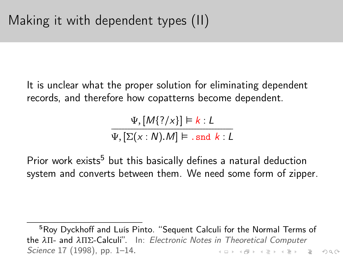<span id="page-22-0"></span>It is unclear what the proper solution for eliminating dependent records, and therefore how copatterns become dependent.

$$
\frac{\Psi, [M\{?/x\}] \vDash k : L}{\Psi, [\Sigma(x : N).M] \vDash \text{ .} \text{ and } k : L}
$$

Prior work exists<sup>5</sup> but this basically defines a natural deduction system and converts between them. We need some form of zipper.

<sup>5</sup>Roy Dyckhoff and Luís Pinto. "Sequent Calculi for the Normal Terms of the *λΠ*- and *λΠΣ*-Calculi". In: Electronic Notes in Theoretical Computer Science 17 (1998), pp. 1–14.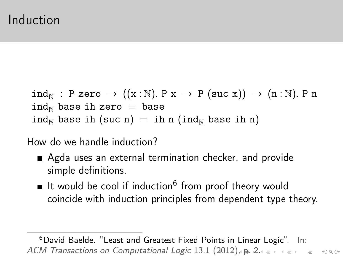<span id="page-23-0"></span> $ind_{\mathbb{N}} : P \text{ zero } \rightarrow ((x : \mathbb{N}). P x \rightarrow P (\text{succ } x)) \rightarrow (n : \mathbb{N}). P n$  $ind_{\mathbb{N}}$  base ih zero  $=$  base ind<sub>N</sub> base ih (suc n) = ih n (ind<sub>N</sub> base ih n)

How do we handle induction?

- Agda uses an external termination checker, and provide simple definitions.
- It would be cool if induction<sup>6</sup> from proof theory would coincide with induction principles from dependent type theory.

<sup>6</sup>David Baelde. "Least and Greatest Fixed Points in Linear Logic". In: ACM Transactions on Computational Logic 13.1 [\(20](#page-22-0)[12\)](#page-24-0)[,](#page-22-0) [p.](#page-23-0) [2](#page-24-0)[.](#page-0-0)  $\geq$   $\geq$   $\geq$   $\geq$   $\geq$   $\geq$   $\leq$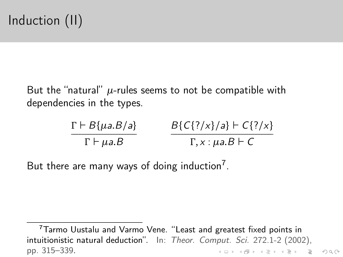<span id="page-24-0"></span>But the "natural"  $\mu$ -rules seems to not be compatible with dependencies in the types.

$$
\frac{\Gamma \vdash B\{\mu a.B/a\}}{\Gamma \vdash \mu a.B} \qquad \qquad \frac{B\{C\{?/x\}/a\} \vdash C\{?/x\}}{\Gamma, x : \mu a.B \vdash C}
$$

But there are many ways of doing induction<sup>7</sup>.

<sup>7</sup>Tarmo Uustalu and Varmo Vene. "Least and greatest fixed points in intuitionistic natural deduction". In: Theor. Comput. Sci. 272.1-2 (2002). pp. 315–339.K ロ ▶ K 레 ≯ K 제공 → K 공 → X → D → O Q (V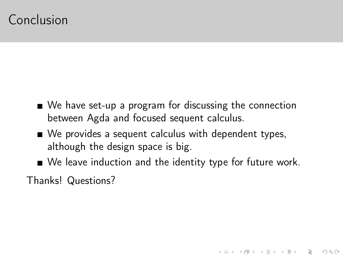### Conclusion

- We have set-up a program for discussing the connection between Agda and focused sequent calculus.
- We provides a sequent calculus with dependent types, although the design space is big.
- We leave induction and the identity type for future work.

Thanks! Questions?